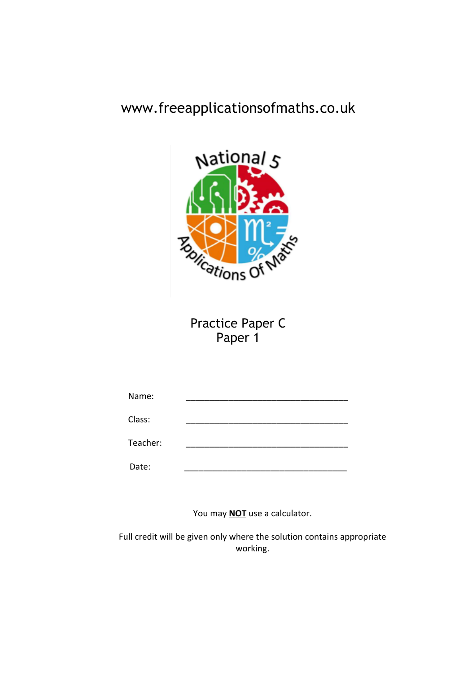# www.freeapplicationsofmaths.co.uk



Practice Paper C Paper 1

| Name:    |  |
|----------|--|
| Class:   |  |
| Teacher: |  |
| Date:    |  |

You may **NOT** use a calculator.

Full credit will be given only where the solution contains appropriate working.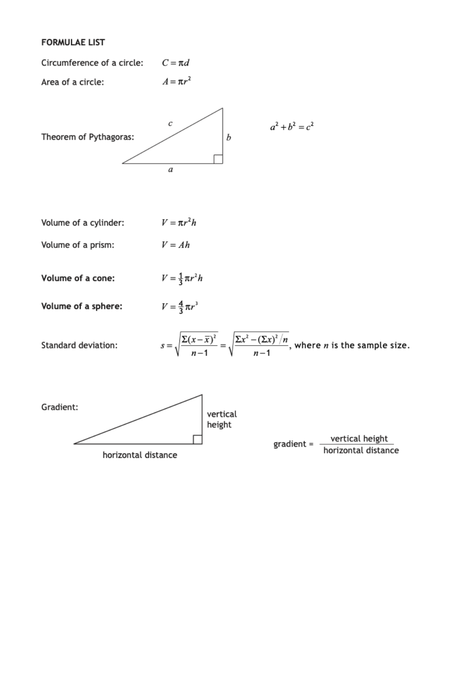## **FORMULAE LIST**

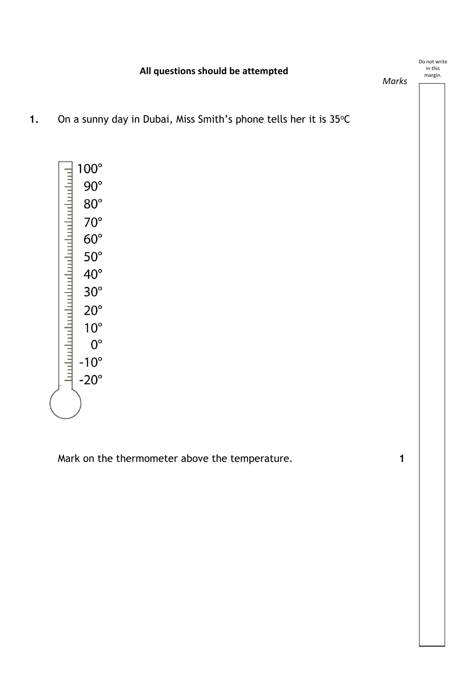**All questions should be attempted**

Do not write in this margin.

*Marks*

**1.** On a sunny day in Dubai, Miss Smith's phone tells her it is 35°C



Mark on the thermometer above the temperature. **1**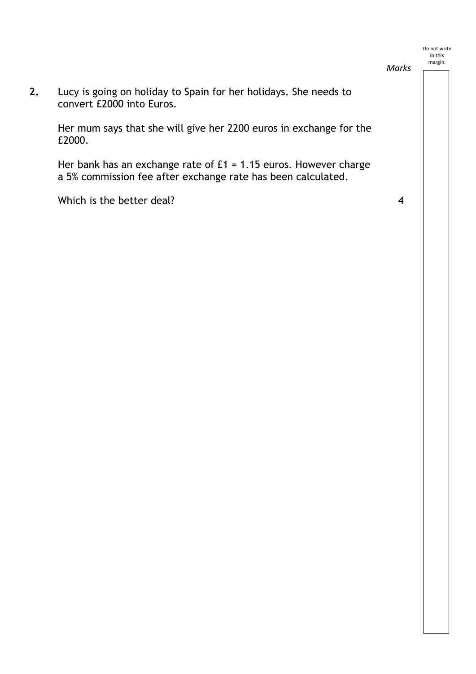**2.** Lucy is going on holiday to Spain for her holidays. She needs to convert £2000 into Euros.

Her mum says that she will give her 2200 euros in exchange for the £2000.

Her bank has an exchange rate of £1 = 1.15 euros. However charge a 5% commission fee after exchange rate has been calculated.

Which is the better deal? 4

*Marks*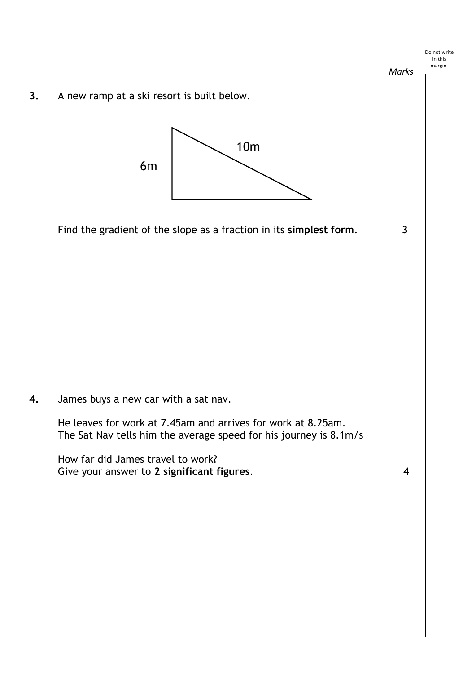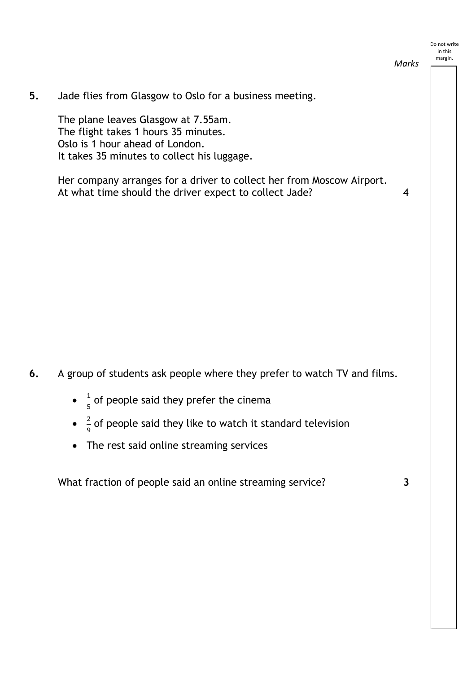**5.** Jade flies from Glasgow to Oslo for a business meeting.

The plane leaves Glasgow at 7.55am. The flight takes 1 hours 35 minutes. Oslo is 1 hour ahead of London. It takes 35 minutes to collect his luggage.

Her company arranges for a driver to collect her from Moscow Airport. At what time should the driver expect to collect Jade? 4

*Marks*

- **6.** A group of students ask people where they prefer to watch TV and films.
	- $\frac{1}{5}$  of people said they prefer the cinema
	- $\frac{2}{9}$  of people said they like to watch it standard television
	- The rest said online streaming services

What fraction of people said an online streaming service? **3**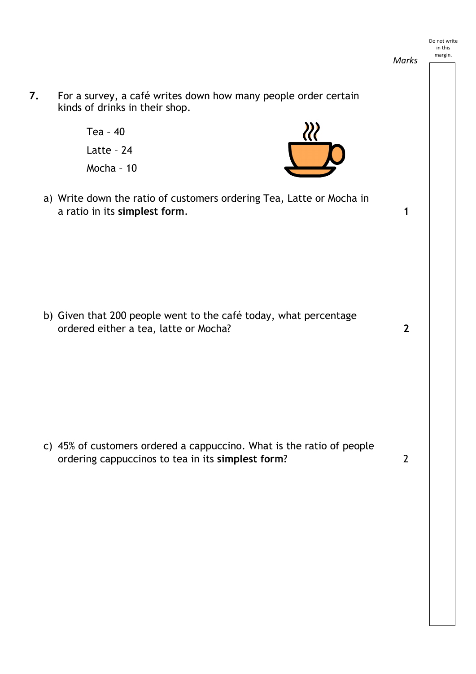**7.** For a survey, a café writes down how many people order certain kinds of drinks in their shop. Tea – 40 Latte – 24 Mocha – 10 a) Write down the ratio of customers ordering Tea, Latte or Mocha in a ratio in its **simplest form**. **1** b) Given that 200 people went to the café today, what percentage ordered either a tea, latte or Mocha? **2** c) 45% of customers ordered a cappuccino. What is the ratio of people ordering cappuccinos to tea in its **simplest form**? 2 Do not write in this margin. *Marks*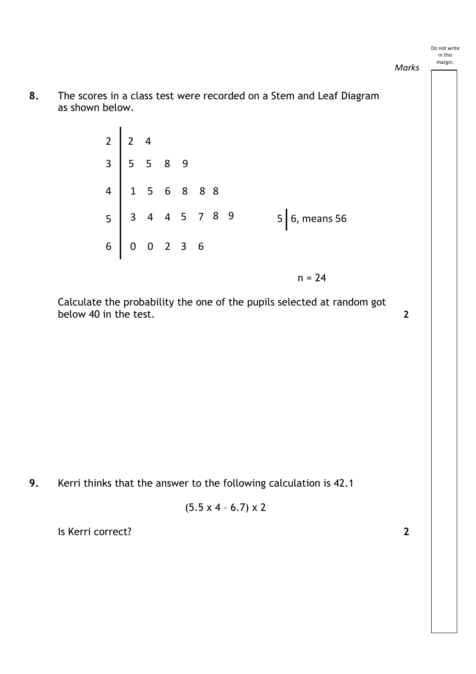*Marks*

**8.** The scores in a class test were recorded on a Stem and Leaf Diagram as shown below.

| 2 2 4<br>3 5 5 8 9<br>4 1 5 6 8 8 8<br>5 3 4 4 5 7 8 9<br>6 0 0 2 3 6 |  |  |  |  |                 |
|-----------------------------------------------------------------------|--|--|--|--|-----------------|
|                                                                       |  |  |  |  | $5$ 6, means 56 |
|                                                                       |  |  |  |  |                 |
|                                                                       |  |  |  |  | $n = 24$        |

Calculate the probability the one of the pupils selected at random got below 40 in the test. **2** 

**9.** Kerri thinks that the answer to the following calculation is 42.1

$$
(5.5 \times 4 - 6.7) \times 2
$$

Is Kerri correct? **2**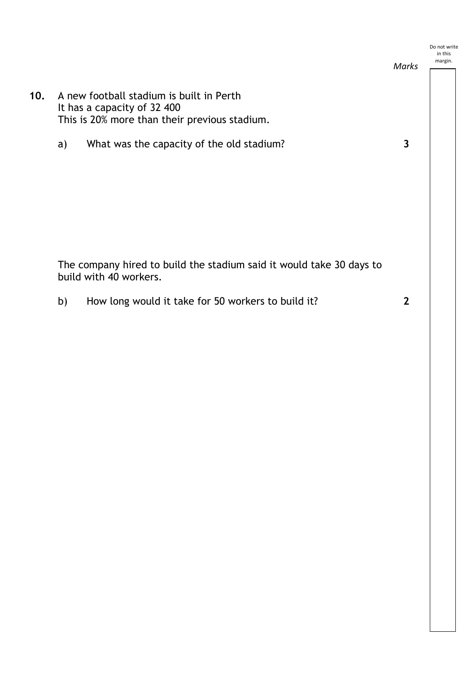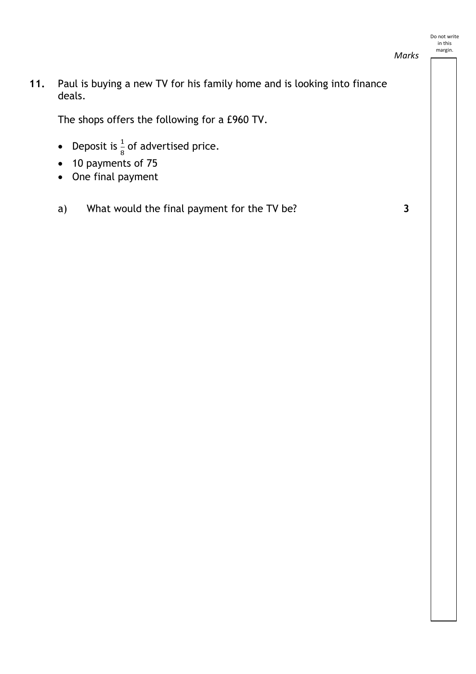*Marks*

**11.** Paul is buying a new TV for his family home and is looking into finance deals.

The shops offers the following for a £960 TV.

- Deposit is  $\frac{1}{8}$  of advertised price.
- 10 payments of 75
- One final payment
- a) What would the final payment for the TV be? **3**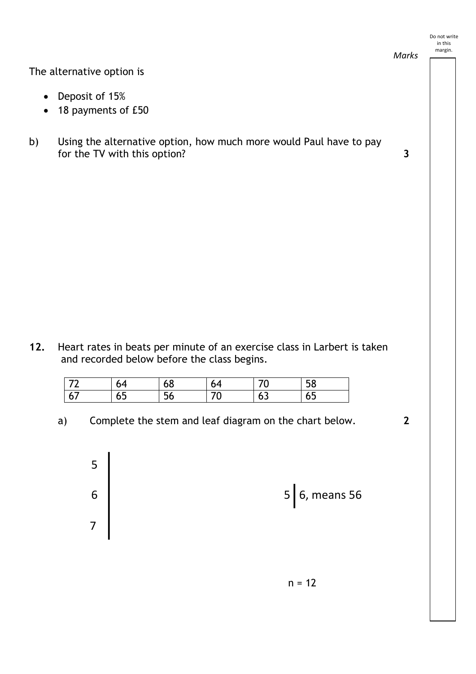

*Marks*

The alternative option is

- Deposit of 15%
- 18 payments of £50

5

6

7

b) Using the alternative option, how much more would Paul have to pay for the TV with this option? **3**

**12.** Heart rates in beats per minute of an exercise class in Larbert is taken and recorded below before the class begins.

| $\overline{\phantom{a}}$ | ັ  | OΟ                    | 04 |   | $-0$<br>ኃŏ |
|--------------------------|----|-----------------------|----|---|------------|
| 6<br>v,                  | ບບ | $\sim$ $\prime$<br>סכ | ⊾  | ິ | ບບ         |

a) Complete the stem and leaf diagram on the chart below. **2**